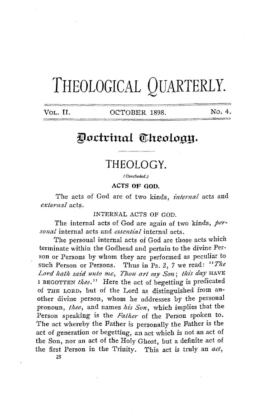# **THEOLOGICAL QUARTERLY.**

VOL. II. OCTOBER 1898. No. 4.

## Doctrinal Theology.

## **THEOLOGY.**

(Concluded.)

**ACTS OF 00D.** 

The acts of God are of two kinds, *internal* acts and  $external$  acts.

INTERNAL ACTS OF GOD.

The internal acts of God are again of two kinds, *personal* internal acts and *essential* internal acts.

1'he personal internal acts of God are those acts which terminate within the Godhead and pertain to the divine Person or Persons by whom they are performed as peculiar to such Person or Persons. Thus in Ps. 2, *7* we read: *"The*  Lord hath said unto me, Thou art my Son; this day HAVE I BEGOTTEN thee." Here the act of begetting is predicated of THE LORD, but of the Lord as distinguished from another divine person, whom he addresses by the personal pronoun, *thee*, and names his Son, which implies that the Person speaking is the *Father* of the Person spoken to. The act whereby the Father is personally the Father is the act of generation or begetting, an act which is not an act of the Son, nor an act of the Holy Ghost, but a definite act of the first Person in the Trinity. This act is truly an *act,*  25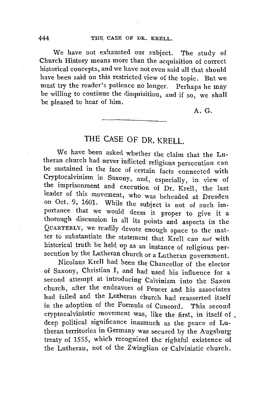We have not exhausted our subject. The study of Church History means more than the acquisition of correct historical concepts, and we have not even said all that should have been said on this restricted view of the topic. But we must try the reader's patience no longer. Perhaps he may be willing to continue the disquisition, and if so, we shall be pleased to hear of him.

A.G.

#### **THE** CASE OF DR. KRELL.

We have been asked whether the claim that the Lutheran church had never inflicted religious persecution can be sustained in the face of certain facts connected with Cryptocalvinism in Saxony, and, especially, in view of the imprisonment and execution of Dr. Krell, the last leader of this movement, who was beheaded at Dresden on Oct. 9, 1601. While the subject is not of such importance that we would deem it proper to give it a thorough discussion in all its points and aspects in the QUARTERLY, we readily devote enough space to the matter to substantiate the statement that Krell can *not* with historical truth be held up as an instance of religious persecution by the Lutheran church or a Lutheran government.

Nicolaus Krell had been the Chancellor of the elector of Saxony, Christian I, and had used his influence for a second attempt at introducing Calvinism into the Saxon church, after the endeavors of Peucer and his associates had failed and the Lutheran church had reasserted itself in the adoption of the Formula of Concord. This second cryptocalvinistic movement was, like the first, in itself of. deep political significance inasmuch as the peace of Lutheran territories in Germany was secured by the Augsburg treaty of 1555, which recognized the rightful existence of the Lutheran, not of the Zwinglian or Calvinistic church.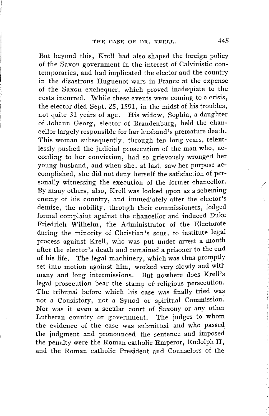But beyond this, Krell had also shaped the foreign policy of the Saxon government in the interest of Calvinistic contemporaries, and had implicated the elector and the country in the disastrous Huguenot wars in France at the expense of the Saxon exchequer, which proved inadequate to the costs incurred. While these events were coming to a crisis, the elector died Sept. *25,* 1591, in the midst of his troubles, not quite 31 years of age. His widow, Sophia, a daughter of Johann Georg, elector of Brandenburg, held the chancellor largely responsible for her husband's premature death. This woman subsequently, through ten long years, relentlessly pushed the judicial prosecution of the man who, according to her conviction, had so grievously wronged her young husband, and when she, at last, saw her purpose accomplished, she did not deny herself the satisfaction of personally witnessing the execution of the former chancellor. By many others, also, Krell was looked upon as a scheming enemy of his country, and immediately after the elector's demise, the nobility, through their commissioners, lodged formal complaint against the chancellor and induced Duke Friedrich Wilhelm, the Administrator of the Electorate during the minority of Christian's sous, to institute legal process against Krell, who was put under arrest a month after the elector's death and remained a prisoner to the end of his life. The legal machinery, which was thus promptly set into motion against him, worked very slowly and with many and long intermissions. But nowhere does Krell's legal prosecution bear the stamp of religious persecution. The tribunal before which his case was finally tried was not a Consistory, not a Synod or spiritual Commission. Nor was it even a secular court of Saxony or any other Lutheran country or government. The judges to whom the evidence of the case was submitted and who passed the judgment and pronounced the sentence and imposed the penalty were the Roman catholic Emperor, Rudolph II, and the Roman catholic President and Counselors of the

/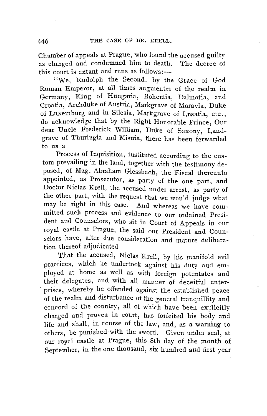Chamber of appeals at Prague, who found the accused guilty as charged and condemned him to death. The decree of this court is extant and runs as follows:-

"We, Rudolph the Second, by the Grace of God Roman Emperor, at all times augmenter of the realm in Germany, King of Hungaria, Bohemia, Dalmatia, and Croatia, Archduke of Austria, Markgrave of Moravia, Duke of Luxemburg and in Silesia, Markgrave of Lusatia, etc., do acknowledge that by the Right Honorable Prince, Our dear Uncle Frederick William, Duke of Saxony, Landgrave of Thuringia and Misnia, there has been forwarded to us a

Process of Inquisition, instituted according to the custom prevailing in the land, together with the testimony deposed, of Mag. Abraham Giessbach, the Fiscal thereunto appointed, as Prosecutor, as party of the one part, and Doctor Niclas Krell, the accused under arrest, as party of the other part, with the request that we would judge what may be right in this case. And whereas we have committed such process and evidence to our ordained President and Counselors, who sit in Court of Appeals in our royal castle at Prague, the said our President and Counselors have, after due consideration and mature deliberation thereof adjudicated

1'hat the accused, Niclas Krell, by his manifold evil practices, which he undertook: against his duty and employed at home as well as with foreign potentates and their delegates, and with all manner of deceitful enterprises, whereby he offended against the established peace of the realm and disturbance of the general tranquillity and concord of the country, all of which have been explicitly charged and proven in court, has forfeited his body and life and shall, in course of the law, and, as a warning to others, be punished with the sword. Given under seal, at our royal castle at Prague, this 8th day of the month of September, in the one thousand, six hundred and first year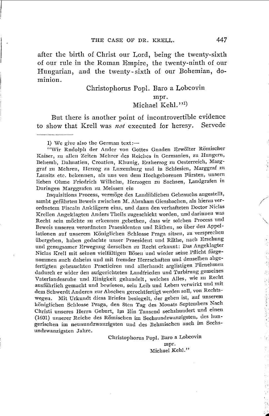after the birth of Christ our Lord, being the twenty-sixth of our rule in the Roman Empire, the twenty-ninth of our Hungarian, and the twenty- sixth of our Bohemian, dominion.

#### Christophorus Popl. Baro a Lobcovin

mpr. Michael Kehl.''<sup>1)</sup>

But there is another point of incontrovertible evidence to show that Krell was *not* executed for heresy. Servede

1) We give also the German text: $-$ 

''Wir Rudolph der Ander von Gottes Gnaden Erwölter Römischer Kaiser, zu allen Zeiten Mehrer des Reiches in Germanien, zu Hungern, Dehemb, Dalmatien, Croatien, Klmnig, Erzherzog zu Oesterreich, Marggraf zu Mehreu, Herzog zu Luxemburg uml in Schlesien, Marggraf zn Lausitz etc. bekennen, als uns von dem IIochgeborenen Fiirsten, unsern lieben Ohme Friedrich Wilhelm, Herzogen zu Sachsen, Landgrafen in Duringen Marggrafen zu Meissen eiu

Inquisitions Process, vermöge des Landiiblichen Gebrauchs angestellt, sambt geführten Beweis zwischen M. Abraham Giessbachen, als hierzu verordnetem Fiscaln Anklägern eins, und dann den verhafteten Doctor Niclas Krellen Angeklagten Anders Theils zugeschickt worden, und darinnen was Recht sein möchte zu erkennen gebethen, dass wir solchen Process und Deweis unsereu verordneten Praesidenten und Rathen, so iiber den Appellationen auf unserem Königlichen Schlosse Praga sitzen, zu versprechen iibergeben, haben gedachte unser Praesident und Rathe, nach Ersehung und genugsamer Erwegung derselben zu Recht erkannt: Das Angeklagter Niclas Krell mit seinen vielfältigen Bösen und wieder seine Pflicht fürgenommen auch daheim und mit fremder Herrschaften und denselben abgefertigten gebrauchten Practiciren nnd allerhandt arglistigen Fiirnehmen dadurch er wider den aufgerichteten Landfrieden und Turbirung gemeines Vaterlandesruhe und Einigkeit gehandelt, welches Alles, wie zn Recht ausführlich gemacht und bewiesen, sein Leib und Leben verwirkt und mit dem Schwerdt Anderen zur Abscheu gerechtfertigt werden soll, von Rechtswegen. Mit Urkundt diess Briefes besiegelt, der geben ist, auf unserem königlichen Schlosse Praga, den 8ten Tag des Mouats Septembers Nach Christi unseres Herrn Geburt, Im Ein Tansend sechshuudert und eineu (1601) unserer Reiche des Römischen im Sechsundzwanzigsten, des hungerischen im neunundzwauzigsten und des Dehmischen auch im Sechsundzwanzigsten Jahre.

> Christophorus Popi. Daro a Lobcovin mpr. Michael Kehl."